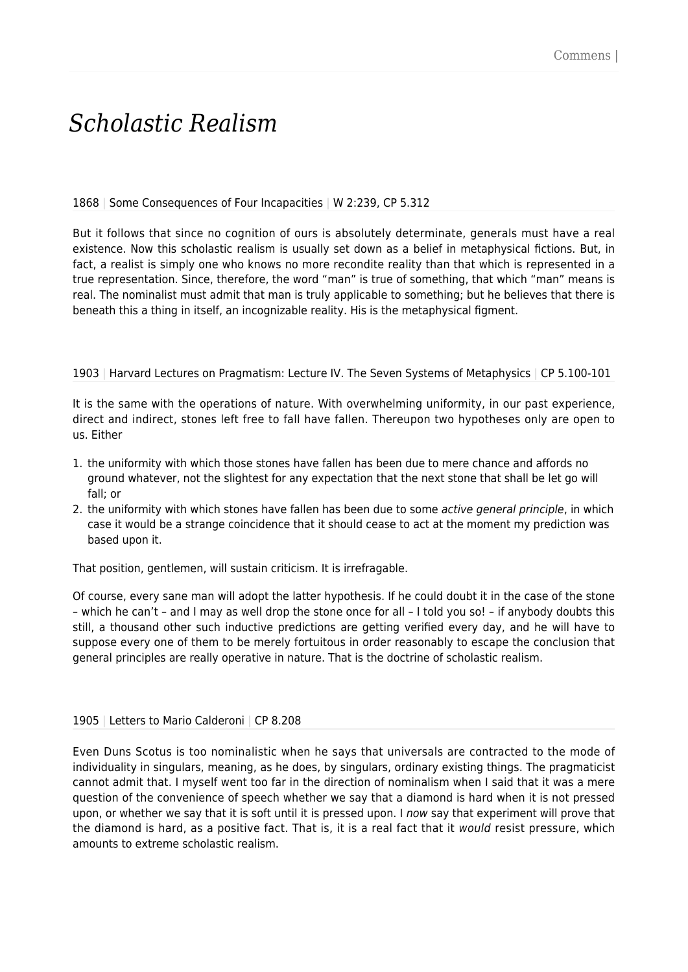# *Scholastic Realism*

### 1868 | Some Consequences of Four Incapacities | W 2:239, CP 5.312

But it follows that since no cognition of ours is absolutely determinate, generals must have a real existence. Now this scholastic realism is usually set down as a belief in metaphysical fictions. But, in fact, a realist is simply one who knows no more recondite reality than that which is represented in a true representation. Since, therefore, the word "man" is true of something, that which "man" means is real. The nominalist must admit that man is truly applicable to something; but he believes that there is beneath this a thing in itself, an incognizable reality. His is the metaphysical figment.

### 1903 | Harvard Lectures on Pragmatism: Lecture IV. The Seven Systems of Metaphysics | CP 5.100-101

It is the same with the operations of nature. With overwhelming uniformity, in our past experience, direct and indirect, stones left free to fall have fallen. Thereupon two hypotheses only are open to us. Either

- 1. the uniformity with which those stones have fallen has been due to mere chance and affords no ground whatever, not the slightest for any expectation that the next stone that shall be let go will fall; or
- 2. the uniformity with which stones have fallen has been due to some active general principle, in which case it would be a strange coincidence that it should cease to act at the moment my prediction was based upon it.

That position, gentlemen, will sustain criticism. It is irrefragable.

Of course, every sane man will adopt the latter hypothesis. If he could doubt it in the case of the stone – which he can't – and I may as well drop the stone once for all – I told you so! – if anybody doubts this still, a thousand other such inductive predictions are getting verified every day, and he will have to suppose every one of them to be merely fortuitous in order reasonably to escape the conclusion that general principles are really operative in nature. That is the doctrine of scholastic realism.

#### 1905 | Letters to Mario Calderoni | CP 8.208

Even Duns Scotus is too nominalistic when he says that universals are contracted to the mode of individuality in singulars, meaning, as he does, by singulars, ordinary existing things. The pragmaticist cannot admit that. I myself went too far in the direction of nominalism when I said that it was a mere question of the convenience of speech whether we say that a diamond is hard when it is not pressed upon, or whether we say that it is soft until it is pressed upon. I now say that experiment will prove that the diamond is hard, as a positive fact. That is, it is a real fact that it would resist pressure, which amounts to extreme scholastic realism.